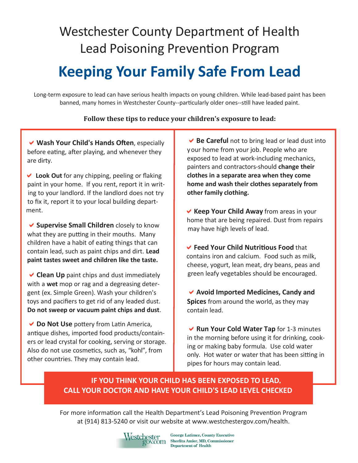# Westchester County Department of Health Lead Poisoning Prevention Program

# **Keeping Your Family Safe From Lead**

Long-term exposure to lead can have serious health impacts on young children. While lead-based paint has been banned, many homes in Westchester County--particularly older ones--still have leaded paint.

#### **Follow these tips to reduce your children's exposure to lead:**

**Wash Your Child's Hands Often**, especially before eating, after playing, and whenever they are dirty.

 **Look Out** for any chipping, peeling or flaking paint in your home. If you rent, report it in writ ing to your landlord. If the landlord does not try to fix it, report it to your local building depart ment.

**Supervise Small Children** closely to know what they are putting in their mouths. Many children have a habit of eating things that can contain lead, such as paint chips and dirt. **Lead paint tastes sweet and children like the taste.**

**Clean Up** paint chips and dust immediately with a **wet** mop or rag and a degreasing detergent (ex. Simple Green). Wash your children's toys and pacifiers to get rid of any leaded dust. **Do not sweep or vacuum paint chips and dust**.

**Do Not Use** pottery from Latin America, antique dishes, imported food products/containers or lead crystal for cooking, serving or storage. Also do not use cosmetics, such as, "kohl", from other countries. They may contain lead.

**Be Careful** not to bring lead or lead dust into your home from your job. People who are exposed to lead at work-including mechanics, painters and contractors-should **change their clothes in a separate area when they come home and wash their clothes separately from other family clothing.**

 **Keep Your Child Away** from areas in your home that are being repaired. Dust from repairs may have high levels of lead.

 **Feed Your Child Nutritious Food** that contains iron and calcium. Food such as milk, cheese, yogurt, lean meat, dry beans, peas and green leafy vegetables should be encouraged.

**Avoid Imported Medicines, Candy and Spices** from around the world, as they may contain lead.

**Run Your Cold Water Tap** for 1-3 minutes in the morning before using it for drinking, cooking or making baby formula. Use cold water only. Hot water or water that has been sitting in pipes for hours may contain lead.

### **IF YOU THINK YOUR CHILD HAS BEEN EXPOSED TO LEAD, CALL YOUR DOCTOR AND HAVE YOUR CHILD'S LEAD LEVEL CHECKED**

For more information call the Health Department's Lead Poisoning Prevention Program at (914) 813-5240 or visit our website at www.westchestergov.com/health.



George Latimer, County Executive CStCI<br>COV.COM Sherlita Amler, MD, Commissioner **Department of Health**